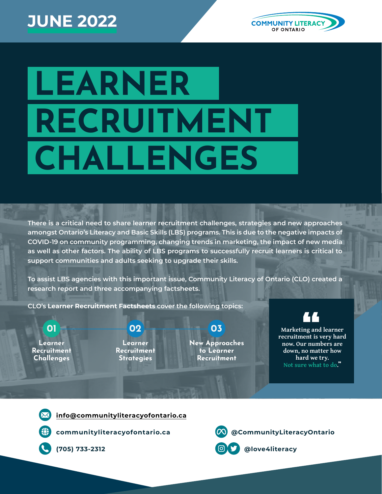## **JUNE 2022**



# **LEARNER RECRUITMENT CHALLENGES**

**There is a critical need to share learner recruitment challenges, strategies and new approaches amongst Ontario's Literacy and Basic Skills (LBS) programs. This is due to the negative impacts of COVID-19 on community programming, changing trends in marketing, the impact of new media as well as other factors. The ability of LBS programs to successfully recruit learners is critical to support communities and adults seeking to upgrade their skills.**

**To assist LBS agencies with this important issue, Community Literacy of Ontario (CLO) created a research report and three accompanying factsheets.**

**CLO's Learner Recruitment Factsheets cover the following topics:**

**Learner Recruitment Challenges**

**Learner Recruitment Strategies**

**01 02 03 New Approaches to Learner Recruitment**

" **Marketing and learner recruitment is very hard now. Our numbers are down, no matter how hard we try. Not sure what to do.**"

**[info@communityliteracyofontario.ca](mailto:info@communityliteracyofontario.ca)**

**[communityliteracyofontario.ca](http://www.communityliteracyofontario.ca) [@CommunityLiteracyOntario](https://www.facebook.com/CommunityLiteracyOntario/)**



**(705) 733-2312 @love4literacy**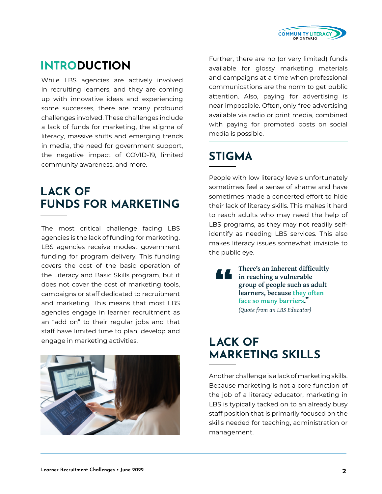

## **INTRODUCTION**

While LBS agencies are actively involved in recruiting learners, and they are coming up with innovative ideas and experiencing some successes, there are many profound challenges involved. These challenges include a lack of funds for marketing, the stigma of literacy, massive shifts and emerging trends in media, the need for government support, the negative impact of COVID-19, limited community awareness, and more.

## **LACK OF FUNDS FOR MARKETING**

The most critical challenge facing LBS agencies is the lack of funding for marketing. LBS agencies receive modest government funding for program delivery. This funding covers the cost of the basic operation of the Literacy and Basic Skills program, but it does not cover the cost of marketing tools, campaigns or staff dedicated to recruitment and marketing. This means that most LBS agencies engage in learner recruitment as an "add on" to their regular jobs and that staff have limited time to plan, develop and engage in marketing activities.



Further, there are no (or very limited) funds available for glossy marketing materials and campaigns at a time when professional communications are the norm to get public attention. Also, paying for advertising is near impossible. Often, only free advertising available via radio or print media, combined with paying for promoted posts on social media is possible.

## **STIGMA**

People with low literacy levels unfortunately sometimes feel a sense of shame and have sometimes made a concerted effort to hide their lack of literacy skills. This makes it hard to reach adults who may need the help of LBS programs, as they may not readily selfidentify as needing LBS services. This also makes literacy issues somewhat invisible to the public eye.

**There's an inherent difficultly in reaching a vulnerable group of people such as adult learners, because they often face so many barriers**." *(Quote from an LBS Educator)* 44

#### **LACK OF MARKETING SKILLS**

Another challenge is a lack of marketing skills. Because marketing is not a core function of the job of a literacy educator, marketing in LBS is typically tacked on to an already busy staff position that is primarily focused on the skills needed for teaching, administration or management.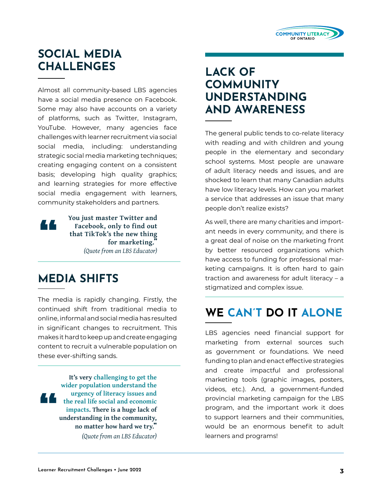

## **SOCIAL MEDIA CHALLENGES LACK OF**

Almost all community-based LBS agencies have a social media presence on Facebook. Some may also have accounts on a variety of platforms, such as Twitter, Instagram, YouTube. However, many agencies face challenges with learner recruitment via social social media, including: understanding strategic social media marketing techniques; creating engaging content on a consistent basis; developing high quality graphics; and learning strategies for more effective social media engagement with learners, community stakeholders and partners.

**You just master Twitter and Facebook, only to find out that TikTok's the new thing for marketing.**" "<br>"<br>" *(Quote from an LBS Educator)*

#### **MEDIA SHIFTS**

The media is rapidly changing. Firstly, the continued shift from traditional media to online, informal and social media has resulted in significant changes to recruitment. This makes it hard to keep up and create engaging content to recruit a vulnerable population on these ever-shifting sands.

the real life social and economic<br>impacts. There is a huge lack of<br>understanding in the community,<br>no matter how hard we try." **It's very challenging to get the wider population understand the urgency of literacy issues and impacts. There is a huge lack of understanding in the community, no matter how hard we try.**"

*(Quote from an LBS Educator)*

## **COMMUNITY UNDERSTANDING AND AWARENESS**

The general public tends to co-relate literacy with reading and with children and young people in the elementary and secondary school systems. Most people are unaware of adult literacy needs and issues, and are shocked to learn that many Canadian adults have low literacy levels. How can you market a service that addresses an issue that many people don't realize exists?

As well, there are many charities and important needs in every community, and there is a great deal of noise on the marketing front by better resourced organizations which have access to funding for professional marketing campaigns. It is often hard to gain traction and awareness for adult literacy – a stigmatized and complex issue.

#### **WE CAN'T DO IT ALONE**

LBS agencies need financial support for marketing from external sources such as government or foundations. We need funding to plan and enact effective strategies and create impactful and professional marketing tools (graphic images, posters, videos, etc.). And, a government-funded provincial marketing campaign for the LBS program, and the important work it does to support learners and their communities, would be an enormous benefit to adult learners and programs!